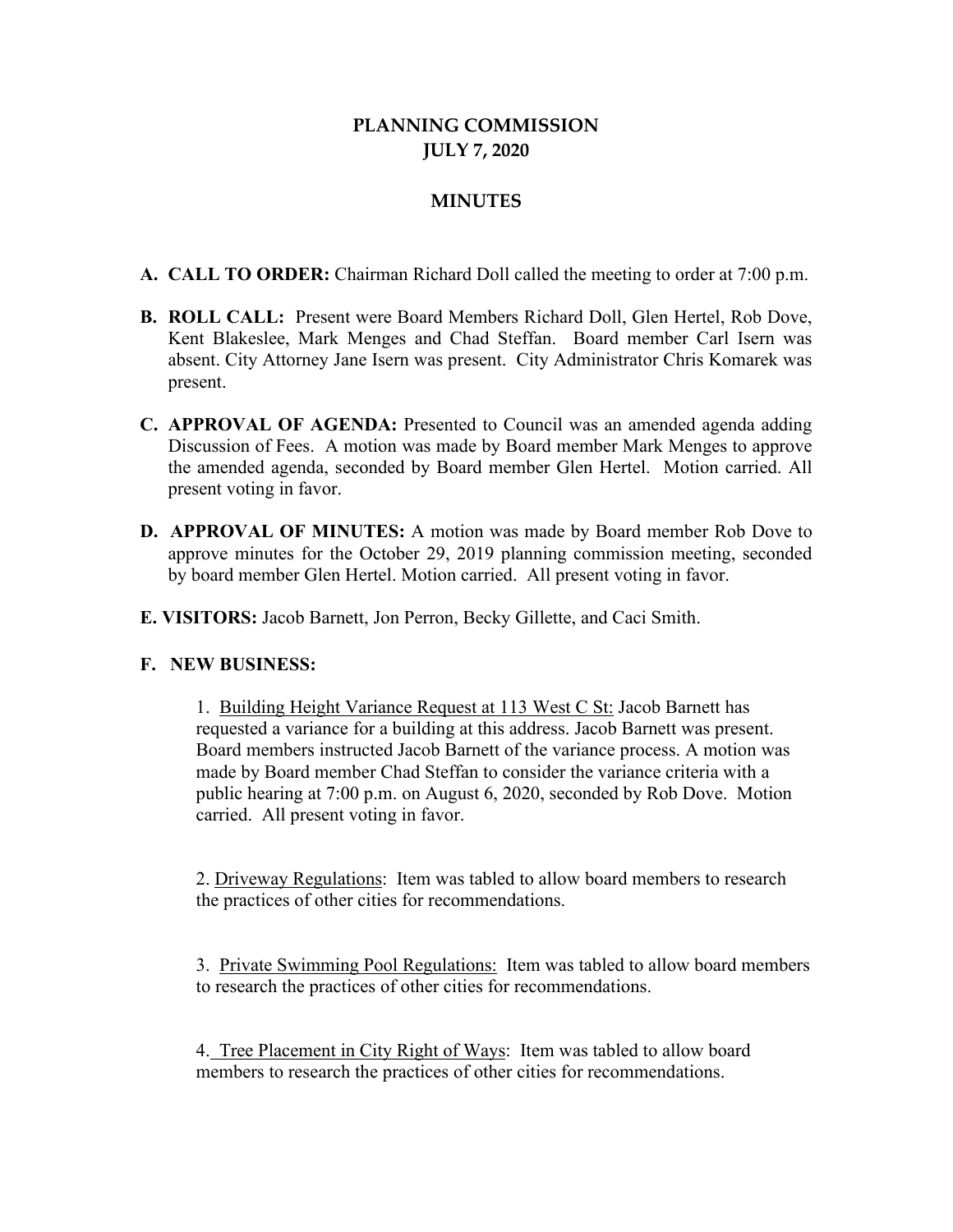## **PLANNING COMMISSION JULY 7, 2020**

## **MINUTES**

- **A. CALL TO ORDER:** Chairman Richard Doll called the meeting to order at 7:00 p.m.
- **B. ROLL CALL:** Present were Board Members Richard Doll, Glen Hertel, Rob Dove, Kent Blakeslee, Mark Menges and Chad Steffan. Board member Carl Isern was absent. City Attorney Jane Isern was present. City Administrator Chris Komarek was present.
- **C. APPROVAL OF AGENDA:** Presented to Council was an amended agenda adding Discussion of Fees. A motion was made by Board member Mark Menges to approve the amended agenda, seconded by Board member Glen Hertel. Motion carried. All present voting in favor.
- **D. APPROVAL OF MINUTES:** A motion was made by Board member Rob Dove to approve minutes for the October 29, 2019 planning commission meeting, seconded by board member Glen Hertel. Motion carried. All present voting in favor.
- **E. VISITORS:** Jacob Barnett, Jon Perron, Becky Gillette, and Caci Smith.

## **F. NEW BUSINESS:**

1. Building Height Variance Request at 113 West C St: Jacob Barnett has requested a variance for a building at this address. Jacob Barnett was present. Board members instructed Jacob Barnett of the variance process. A motion was made by Board member Chad Steffan to consider the variance criteria with a public hearing at 7:00 p.m. on August 6, 2020, seconded by Rob Dove. Motion carried. All present voting in favor.

2. Driveway Regulations: Item was tabled to allow board members to research the practices of other cities for recommendations.

3. Private Swimming Pool Regulations: Item was tabled to allow board members to research the practices of other cities for recommendations.

4. Tree Placement in City Right of Ways: Item was tabled to allow board members to research the practices of other cities for recommendations.